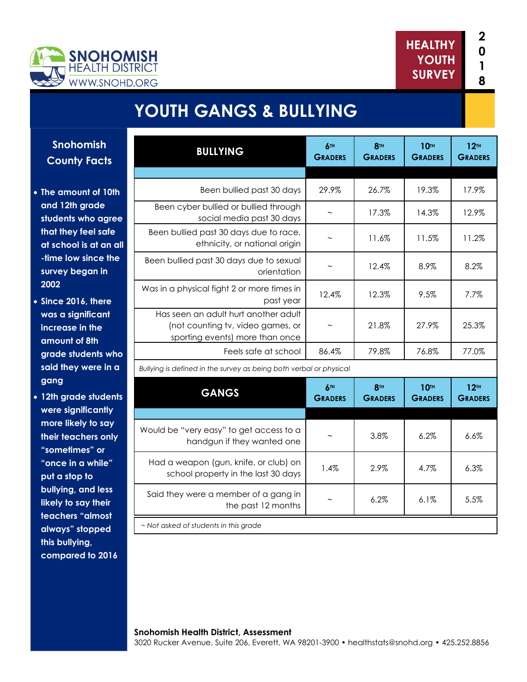



# **YOUTH GANGS & BULLYING**

**Snohomish County Facts** 

- **The amount of 10th and 12th grade students who agree that they feel safe at school is at an all -time low since the survey began in 2002**
- **Since 2016, there was a significant increase in the amount of 8th grade students who said they were in a gang**
- **12th grade students were significantly more likely to say their teachers only "sometimes" or "once in a while" put a stop to bullying, and less likely to say their teachers "almost always" stopped this bullying, compared to 2016**

| <b>BULLYING</b>                                                                                              | 6TH<br><b>GRADERS</b> | 8 <sup>TH</sup><br><b>GRADERS</b> | 10TH<br><b>GRADERS</b> | 12 <sup>TH</sup><br><b>GRADERS</b> |
|--------------------------------------------------------------------------------------------------------------|-----------------------|-----------------------------------|------------------------|------------------------------------|
|                                                                                                              |                       |                                   |                        |                                    |
| Been bullied past 30 days                                                                                    | 29.9%                 | 26.7%                             | 19.3%                  | 17.9%                              |
| Been cyber bullied or bullied through<br>social media past 30 days                                           |                       | 17.3%                             | 14.3%                  | 12.9%                              |
| Been bullied past 30 days due to race,<br>ethnicity, or national origin                                      |                       | 11.6%                             | 11.5%                  | 11.2%                              |
| Been bullied past 30 days due to sexual<br>orientation                                                       |                       | 12.4%                             | 8.9%                   | 8.2%                               |
| Was in a physical fight 2 or more times in<br>past year                                                      | 12.4%                 | 12.3%                             | 9.5%                   | 7.7%                               |
| Has seen an adult hurt another adult<br>(not counting tv, video games, or<br>sporting events) more than once |                       | 21.8%                             | 27.9%                  | 25.3%                              |
| Feels safe at school                                                                                         | 86.4%                 | 79.8%                             | 76.8%                  | 77.0%                              |
| Bullying is defined in the survey as being both verbal or physical                                           |                       |                                   |                        |                                    |
| <b>GANGS</b>                                                                                                 | 6TH<br><b>GRADERS</b> | 8 <sup>TH</sup><br><b>GRADERS</b> | 10TH<br><b>GRADERS</b> | 12 <sup>TH</sup><br><b>GRADERS</b> |
|                                                                                                              |                       |                                   |                        |                                    |
| Would be "very easy" to get access to a<br>handgun if they wanted one                                        |                       | 3.8%                              | 6.2%                   | 6.6%                               |
| Had a weapon (gun, knife, or club) on<br>school property in the last 30 days                                 | 1.4%                  | 2.9%                              | 4.7%                   | 6.3%                               |
| Said they were a member of a gang in<br>the past 12 months                                                   |                       | 6.2%                              | 6.1%                   | 5.5%                               |
| ~ Not asked of students in this grade                                                                        |                       |                                   |                        |                                    |